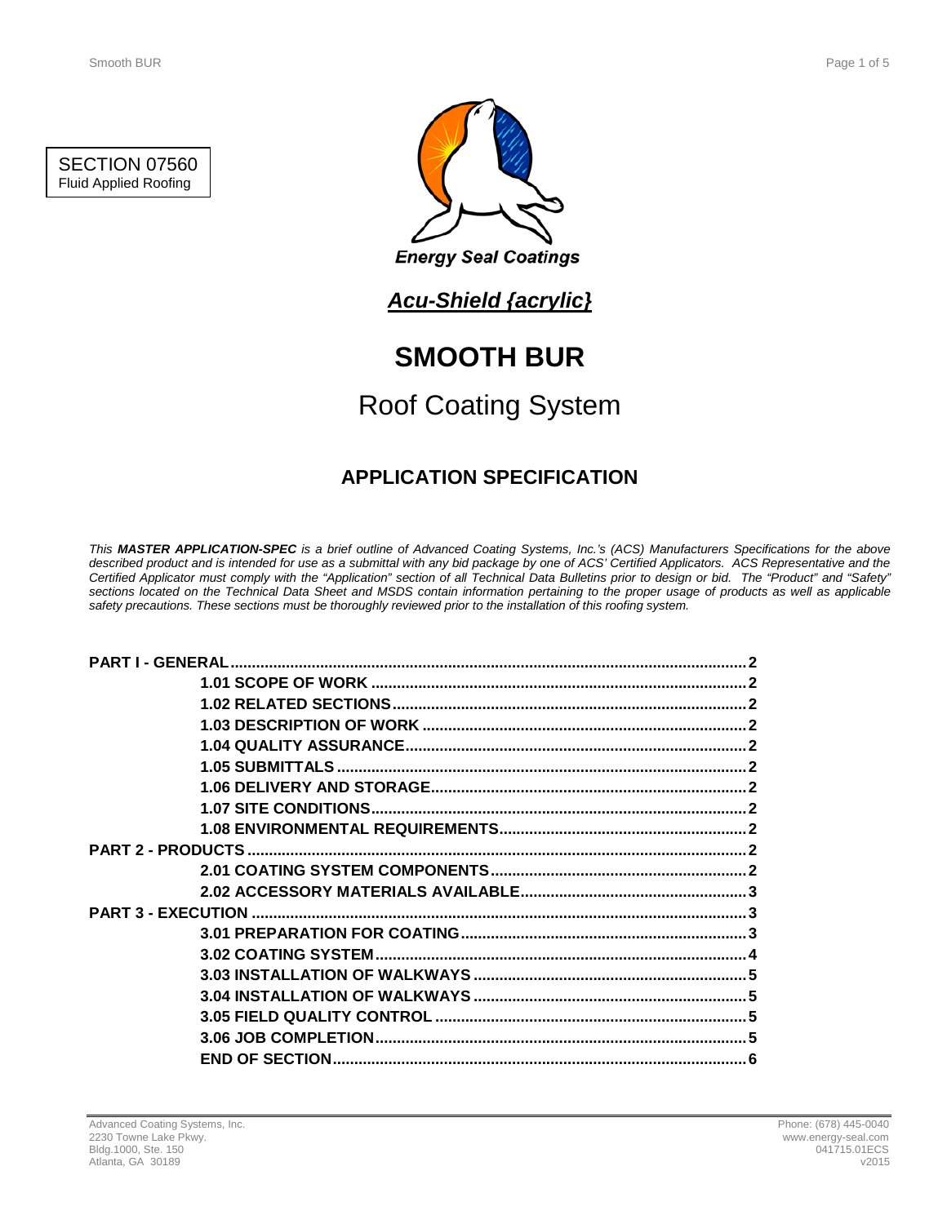



## *Acu-Shield {acrylic}*

# **SMOOTH BUR**

# Roof Coating System

## **APPLICATION SPECIFICATION**

*This MASTER APPLICATION-SPEC is a brief outline of Advanced Coating Systems, Inc.'s (ACS) Manufacturers Specifications for the above described product and is intended for use as a submittal with any bid package by one of ACS' Certified Applicators. ACS Representative and the Certified Applicator must comply with the "Application" section of all Technical Data Bulletins prior to design or bid. The "Product" and "Safety" sections located on the Technical Data Sheet and MSDS contain information pertaining to the proper usage of products as well as applicable safety precautions. These sections must be thoroughly reviewed prior to the installation of this roofing system.*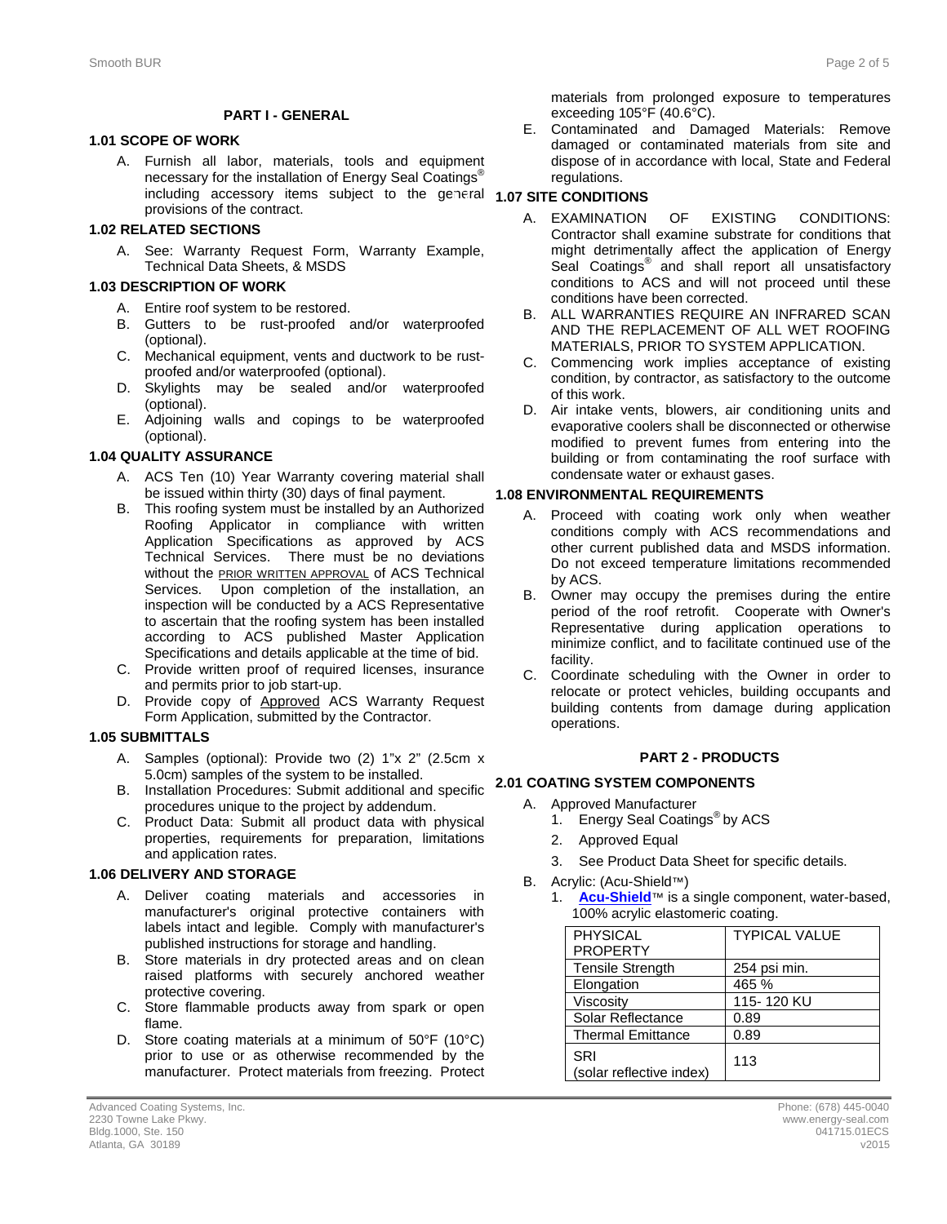#### **PART I - GENERAL**

#### **1.1 1.01 SCOPE OF WORK**

A. Furnish all labor, materials, tools and equipment necessary for the installation of Energy Seal Coatings<sup>®</sup> including accessory items subject to the general **1.07 SITE CONDITIONS** provisions of the contract.

#### **1.2 1.02 RELATED SECTIONS**

A. See: Warranty Request Form, Warranty Example, Technical Data Sheets, & MSDS

#### **1.3 1.03 DESCRIPTION OF WORK**

- A. Entire roof system to be restored.
- B. Gutters to be rust-proofed and/or waterproofed (optional).
- C. Mechanical equipment, vents and ductwork to be rustproofed and/or waterproofed (optional).
- D. Skylights may be sealed and/or waterproofed (optional).
- E. Adjoining walls and copings to be waterproofed (optional).

#### **1.4 1.04 QUALITY ASSURANCE**

- A. ACS Ten (10) Year Warranty covering material shall be issued within thirty (30) days of final payment.
- B. This roofing system must be installed by an Authorized Roofing Applicator in compliance with written Application Specifications as approved by ACS Technical Services. There must be no deviations without the **PRIOR WRITTEN APPROVAL** of ACS Technical Services. Upon completion of the installation, an inspection will be conducted by a ACS Representative to ascertain that the roofing system has been installed according to ACS published Master Application Specifications and details applicable at the time of bid.
- C. Provide written proof of required licenses, insurance and permits prior to job start-up.
- D. Provide copy of Approved ACS Warranty Request Form Application, submitted by the Contractor.

#### **1.5 1.05 SUBMITTALS**

- A. Samples (optional): Provide two (2) 1"x 2" (2.5cm x 5.0cm) samples of the system to be installed. 5.0cm) samples of the system to be installed.
- B. Installation Procedures: Submit additional and specific **2.1 2.01 COATING SYSTEM COMPONENTS** procedures unique to the project by addendum.
- C. Product Data: Submit all product data with physical properties, requirements for preparation, limitations and application rates.

#### **1.6 1.06 DELIVERY AND STORAGE**

- A. Deliver coating materials and accessories in manufacturer's original protective containers with labels intact and legible. Comply with manufacturer's published instructions for storage and handling.
- B. Store materials in dry protected areas and on clean raised platforms with securely anchored weather protective covering.
- C. Store flammable products away from spark or open flame.
- D. Store coating materials at a minimum of 50°F (10°C) prior to use or as otherwise recommended by the manufacturer. Protect materials from freezing. Protect

materials from prolonged exposure to temperatures exceeding 105°F (40.6°C).

E. Contaminated and Damaged Materials: Remove damaged or contaminated materials from site and dispose of in accordance with local, State and Federal regulations.

- A. EXAMINATION OF EXISTING CONDITIONS: Contractor shall examine substrate for conditions that might detrimentally affect the application of Energy Seal Coatings<sup>®</sup> and shall report all unsatisfactory conditions to ACS and will not proceed until these conditions have been corrected.
- B. ALL WARRANTIES REQUIRE AN INFRARED SCAN AND THE REPLACEMENT OF ALL WET ROOFING MATERIALS, PRIOR TO SYSTEM APPLICATION.
- C. Commencing work implies acceptance of existing condition, by contractor, as satisfactory to the outcome of this work.
- D. Air intake vents, blowers, air conditioning units and evaporative coolers shall be disconnected or otherwise modified to prevent fumes from entering into the building or from contaminating the roof surface with condensate water or exhaust gases.

#### **1.8 1.08 ENVIRONMENTAL REQUIREMENTS**

- A. Proceed with coating work only when weather conditions comply with ACS recommendations and other current published data and MSDS information. Do not exceed temperature limitations recommended by ACS.
- B. Owner may occupy the premises during the entire period of the roof retrofit. Cooperate with Owner's Representative during application operations to minimize conflict, and to facilitate continued use of the facility.
- C. Coordinate scheduling with the Owner in order to relocate or protect vehicles, building occupants and building contents from damage during application operations.

#### **2 PART 2 - PRODUCTS**

- A. Approved Manufacturer
	- 1. Energy Seal Coatings<sup>®</sup> by ACS
	- 2. Approved Equal
	- 3. See Product Data Sheet for specific details.
- B. Acrylic: (Acu-Shield™)
	- 1. **[Acu-Shield](http://www.energy-seal.com/UserDyn/ACS/pdfs/acu-shield.pdf)**™ is a single component, water-based, 100% acrylic elastomeric coating.

| <b>PHYSICAL</b>                 | <b>TYPICAL VALUE</b> |
|---------------------------------|----------------------|
| <b>PROPERTY</b>                 |                      |
| <b>Tensile Strength</b>         | 254 psi min.         |
| Elongation                      | 465 %                |
| Viscosity                       | 115-120 KU           |
| Solar Reflectance               | 0.89                 |
| <b>Thermal Emittance</b>        | 0.89                 |
| SRI<br>(solar reflective index) | 113                  |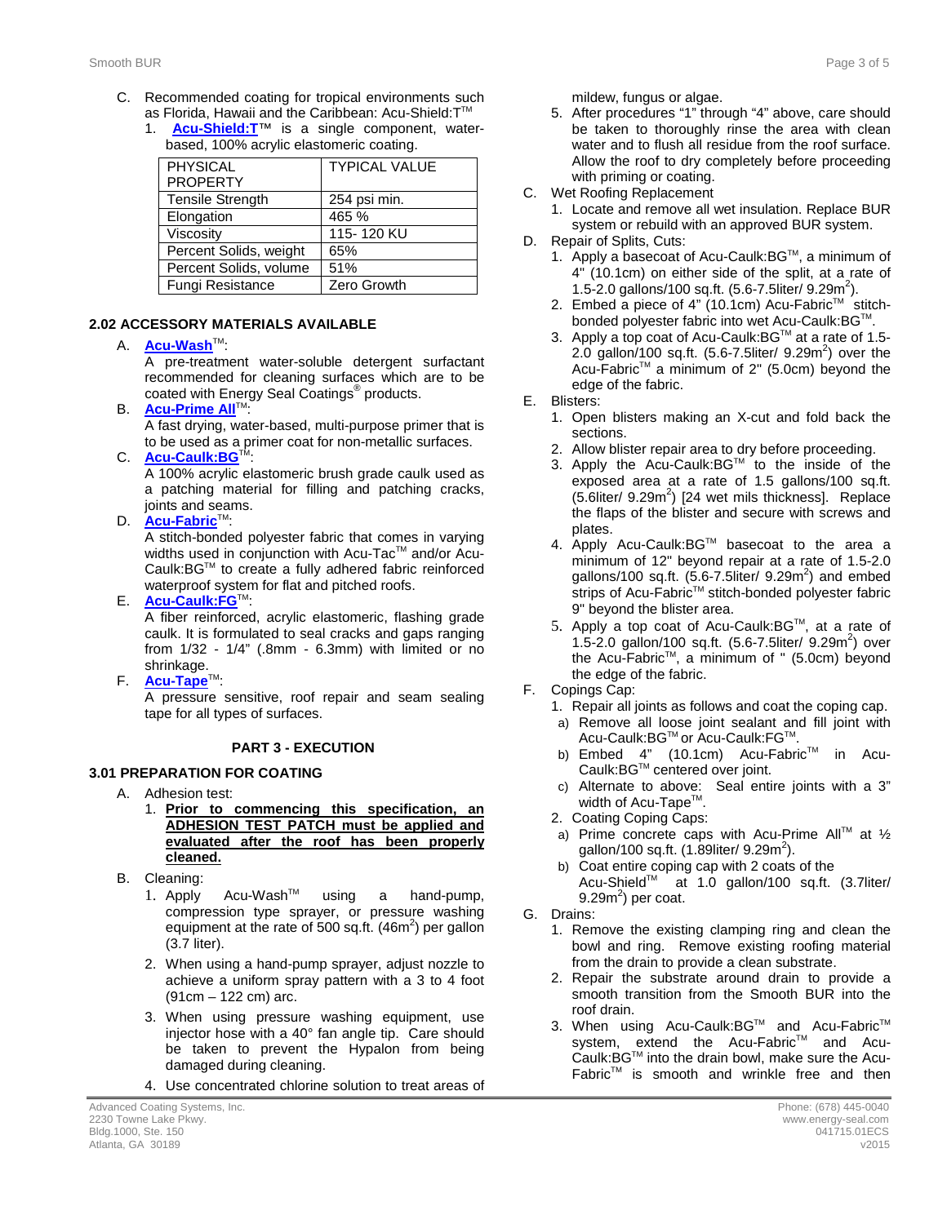- C. Recommended coating for tropical environments such as Florida, Hawaii and the Caribbean: Acu-Shield: T™
	- 1. **[Acu-Shield:T](http://www.energy-seal.com/UserDyn/ACS/pdfs/acu-shield-t.pdf)**™ is a single component, waterbased, 100% acrylic elastomeric coating.

| <b>TYPICAL VALUE</b> |
|----------------------|
|                      |
| 254 psi min.         |
| 465 %                |
| 115-120 KU           |
| 65%                  |
| 51%                  |
| Zero Growth          |
|                      |

### **2.2 2.02 ACCESSORY MATERIALS AVAILABLE**

#### A. **[Acu-Wash](http://www.energy-seal.com/UserDyn/ACS/pdfs/acu-wash.pdf)™:**

A pre-treatment water-soluble detergent surfactant recommended for cleaning surfaces which are to be coated with Energy Seal Coatings® products.

**B. [Acu-Prime](http://www.energy-seal.com/UserDyn/ACS/pdfs/acu-prime%20all.pdf) All**™:

A fast drying, water-based, multi-purpose primer that is to be used as a primer coat for non-metallic surfaces.

C. **[Acu-Caulk:BG](http://www.energy-seal.com/UserDyn/ACS/pdfs/acu-caulk_bg.pdf)** 

A 100% acrylic elastomeric brush grade caulk used as a patching material for filling and patching cracks, joints and seams.

D. **[Acu-Fabric](http://www.energy-seal.com/UserDyn/ACS/pdfs/acu-fabric-sb.pdf)**™:

A stitch-bonded polyester fabric that comes in varying widths used in conjunction with Acu-Tac™ and/or Acu-Caulk:BGTM to create a fully adhered fabric reinforced waterproof system for flat and pitched roofs.

E. **[Acu-Caulk:FG](http://www.energy-seal.com/UserDyn/ACS/pdfs/acu-caulk_fg.pdf)**TM:

A fiber reinforced, acrylic elastomeric, flashing grade caulk. It is formulated to seal cracks and gaps ranging from 1/32 - 1/4" (.8mm - 6.3mm) with limited or no shrinkage.

F. **[Acu-Tape](http://www.energy-seal.com/UserDyn/ACS/pdfs/acu-tape.pdf)**TM:

A pressure sensitive, roof repair and seam sealing tape for all types of surfaces.

### **3 PART 3 - EXECUTION**

### **3.1 3.01 PREPARATION FOR COATING**

- A. Adhesion test:
	- 1. **Prior to commencing this specification, an ADHESION TEST PATCH must be applied and evaluated after the roof has been properly cleaned.**
- B. Cleaning:
	- 1. Apply Acu-WashTM using a hand-pump, compression type sprayer, or pressure washing equipment at the rate of 500 sq.ft.  $(46m^2)$  per gallon (3.7 liter).
	- 2. When using a hand-pump sprayer, adjust nozzle to achieve a uniform spray pattern with a 3 to 4 foot (91cm – 122 cm) arc.
	- 3. When using pressure washing equipment, use injector hose with a 40° fan angle tip. Care should be taken to prevent the Hypalon from being damaged during cleaning.
	- 4. Use concentrated chlorine solution to treat areas of

mildew, fungus or algae.

- 5. After procedures "1" through "4" above, care should be taken to thoroughly rinse the area with clean water and to flush all residue from the roof surface. Allow the roof to dry completely before proceeding with priming or coating.
- C. Wet Roofing Replacement
	- 1. Locate and remove all wet insulation. Replace BUR system or rebuild with an approved BUR system.
- D. Repair of Splits, Cuts:
	- 1. Apply a basecoat of Acu-Caulk: BG™, a minimum of 4" (10.1cm) on either side of the split, at a rate of 1.5-2.0 gallons/100 sq.ft.  $(5.6 - 7.5$ liter/ 9.29m<sup>2</sup>).
	- 2. Embed a piece of 4" (10.1cm) Acu-Fabric™ stitchbonded polyester fabric into wet Acu-Caulk: BG™.
	- 3. Apply a top coat of Acu-Caulk:BG™ at a rate of 1.5-2.0 gallon/100 sq.ft.  $(5.6 - 7.5$ liter/ 9.29m<sup>2</sup>) over the Acu-Fabric<sup>™</sup> a minimum of 2" (5.0cm) beyond the edge of the fabric.
- E. Blisters:
	- 1. Open blisters making an X-cut and fold back the sections.
	- 2. Allow blister repair area to dry before proceeding.
	- 3. Apply the Acu-Caulk: $BG^{\mathsf{TM}}$  to the inside of the exposed area at a rate of 1.5 gallons/100 sq.ft.  $(5.6$ liter/  $9.29m<sup>2</sup>)$  [24 wet mils thickness]. Replace the flaps of the blister and secure with screws and plates.
	- 4. Apply Acu-Caulk:BGTM basecoat to the area a minimum of 12" beyond repair at a rate of 1.5-2.0 gallons/100 sq.ft.  $(5.6$ -7.5liter/  $9.29m^2$ ) and embed strips of Acu-Fabric™ stitch-bonded polyester fabric 9" beyond the blister area.
	- 5. Apply a top coat of Acu-Caulk: BG™, at a rate of 1.5-2.0 gallon/100 sq.ft.  $(5.6 - 7.5$ liter/  $9.29m<sup>2</sup>)$  over the Acu-FabricTM, a minimum of " (5.0cm) beyond the edge of the fabric.
- F. Copings Cap:
	- 1. Repair all joints as follows and coat the coping cap.
	- a) Remove all loose joint sealant and fill joint with Acu-Caulk:BGTM or Acu-Caulk:FGTM.
	- b) Embed 4" (10.1cm) Acu-Fabric™ in Acu-Caulk:BGTM centered over joint.
	- c) Alternate to above: Seal entire joints with a 3" width of Acu-Tape<sup>™</sup>.
	- 2. Coating Coping Caps:
	- a) Prime concrete caps with Acu-Prime All<sup>™</sup> at  $\frac{1}{2}$ gallon/100 sq.ft.  $(1.89$ liter/  $9.29$ m<sup>2</sup>).
	- b) Coat entire coping cap with 2 coats of the Acu-Shield™ at 1.0 gallon/100 sq.ft. (3.7liter/ 9.29 $m^2$ ) per coat.
- G. Drains:
	- 1. Remove the existing clamping ring and clean the bowl and ring. Remove existing roofing material from the drain to provide a clean substrate.
	- 2. Repair the substrate around drain to provide a smooth transition from the Smooth BUR into the roof drain.
	- 3. When using Acu-Caulk:BG™ and Acu-Fabric™ system, extend the Acu-Fabric™ and Acu-Caulk:BGTM into the drain bowl, make sure the Acu- $Fabric<sup>TM</sup>$  is smooth and wrinkle free and then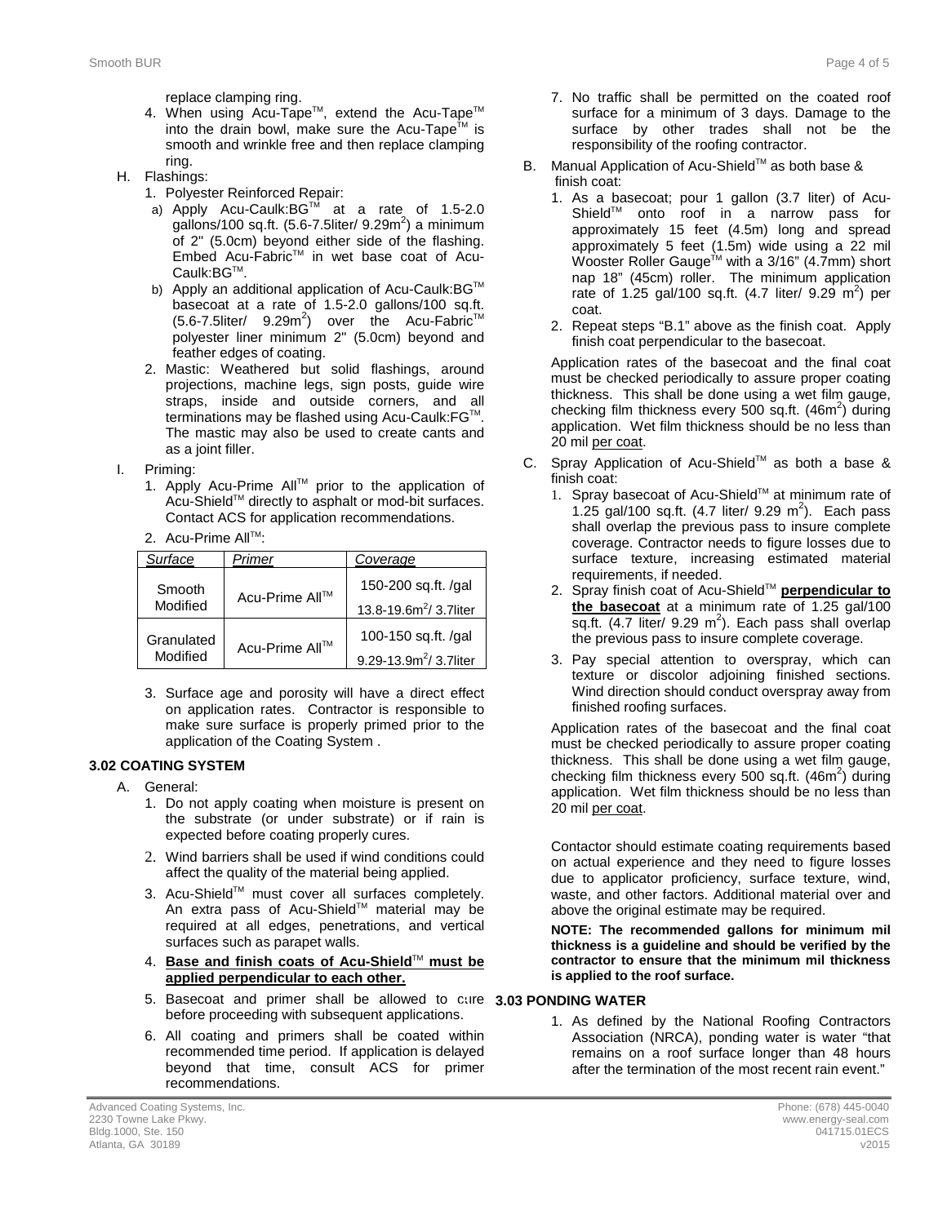replace clamping ring.

- 4. When using Acu-Tape™, extend the Acu-Tape™ into the drain bowl, make sure the Acu-Tape<sup>TM</sup> is smooth and wrinkle free and then replace clamping ring.
- H. Flashings:
	- 1. Polyester Reinforced Repair:
		- a) Apply Acu-Caulk:BG™ at a rate of 1.5-2.0 gallons/100 sq.ft.  $(5.6 - 7.5$ liter/ 9.29m<sup>2</sup>) a minimum of 2" (5.0cm) beyond either side of the flashing. Embed Acu-FabricTM in wet base coat of Acu-Caulk: BG™.
		- b) Apply an additional application of Acu-Caulk: BG™ basecoat at a rate of 1.5-2.0 gallons/100 sq.ft.  $(5.6$ -7.5liter/  $9.29m^2$ ) over the Acu-Fabric<sup>TM</sup> polyester liner minimum 2" (5.0cm) beyond and feather edges of coating.
	- 2. Mastic: Weathered but solid flashings, around projections, machine legs, sign posts, guide wire straps, inside and outside corners, and all terminations may be flashed using Acu-Caulk: FG™. The mastic may also be used to create cants and as a joint filler.
- I. Priming:
	- 1. Apply Acu-Prime AllTM prior to the application of Acu-Shield™ directly to asphalt or mod-bit surfaces. Contact ACS for application recommendations.
	- 2. Acu-Prime All™:

| Surface                      | Primer         | Coverage                           |
|------------------------------|----------------|------------------------------------|
| Smooth<br>Modified           | Acu-Prime All™ | 150-200 sq.ft. /gal                |
|                              |                | 13.8-19.6m <sup>2</sup> / 3.7liter |
| Granulated<br>Acu-Prime All™ |                | 100-150 sq.ft. /gal                |
| Modified                     |                | 9.29-13.9m <sup>2</sup> / 3.7liter |

3. Surface age and porosity will have a direct effect on application rates. Contractor is responsible to make sure surface is properly primed prior to the application of the Coating System .

#### **3.2 3.02 COATING SYSTEM**

- A. General:
	- 1. Do not apply coating when moisture is present on the substrate (or under substrate) or if rain is expected before coating properly cures.
	- 2. Wind barriers shall be used if wind conditions could affect the quality of the material being applied.
	- 3. Acu-Shield™ must cover all surfaces completely. An extra pass of Acu-Shield™ material may be required at all edges, penetrations, and vertical surfaces such as parapet walls.
	- 4. **Base and finish coats of Acu-Shield**TM **must be applied perpendicular to each other.**
	- 5. Basecoat and primer shall be allowed to cure **3.3 3.03 PONDING WATER** before proceeding with subsequent applications.
	- 6. All coating and primers shall be coated within recommended time period. If application is delayed beyond that time, consult ACS for primer recommendations.
- 7. No traffic shall be permitted on the coated roof surface for a minimum of 3 days. Damage to the surface by other trades shall not be the responsibility of the roofing contractor.
- B. Manual Application of Acu-Shield™ as both base & finish coat:
	- 1. As a basecoat; pour 1 gallon (3.7 liter) of Acu-ShieldTM onto roof in a narrow pass for approximately 15 feet (4.5m) long and spread approximately 5 feet (1.5m) wide using a 22 mil Wooster Roller Gauge $^{\text{\tiny{\textsf{TM}}}}$  with a 3/16" (4.7mm) short nap 18" (45cm) roller. The minimum application rate of 1.25 gal/100 sq.ft.  $(4.7 \text{ liter/ } 9.29 \text{ m}^2)$  per coat.
	- 2. Repeat steps "B.1" above as the finish coat. Apply finish coat perpendicular to the basecoat.

Application rates of the basecoat and the final coat must be checked periodically to assure proper coating thickness. This shall be done using a wet film gauge, checking film thickness every 500 sq.ft. (46m<sup>2</sup>) during application. Wet film thickness should be no less than 20 mil per coat.

- C. Spray Application of Acu-Shield™ as both a base & finish coat:
	- 1. Spray basecoat of Acu-Shield™ at minimum rate of 1.25 gal/100 sq.ft.  $(4.7 \text{ liter/ } 9.29 \text{ m}^2)$ . Each pass shall overlap the previous pass to insure complete coverage. Contractor needs to figure losses due to surface texture, increasing estimated material requirements, if needed.
	- 2. Spray finish coat of Acu-Shield™ **perpendicular to the basecoat** at a minimum rate of 1.25 gal/100 sq.ft.  $(4.7$  liter/ 9.29 m<sup>2</sup>). Each pass shall overlap the previous pass to insure complete coverage.
	- 3. Pay special attention to overspray, which can texture or discolor adjoining finished sections. Wind direction should conduct overspray away from finished roofing surfaces.

Application rates of the basecoat and the final coat must be checked periodically to assure proper coating thickness. This shall be done using a wet film gauge, checking film thickness every 500 sq.ft.  $(46m^2)$  during application. Wet film thickness should be no less than 20 mil per coat.

Contactor should estimate coating requirements based on actual experience and they need to figure losses due to applicator proficiency, surface texture, wind, waste, and other factors. Additional material over and above the original estimate may be required.

**NOTE: The recommended gallons for minimum mil thickness is a guideline and should be verified by the contractor to ensure that the minimum mil thickness is applied to the roof surface.** 

1. As defined by the National Roofing Contractors Association (NRCA), ponding water is water "that remains on a roof surface longer than 48 hours after the termination of the most recent rain event."